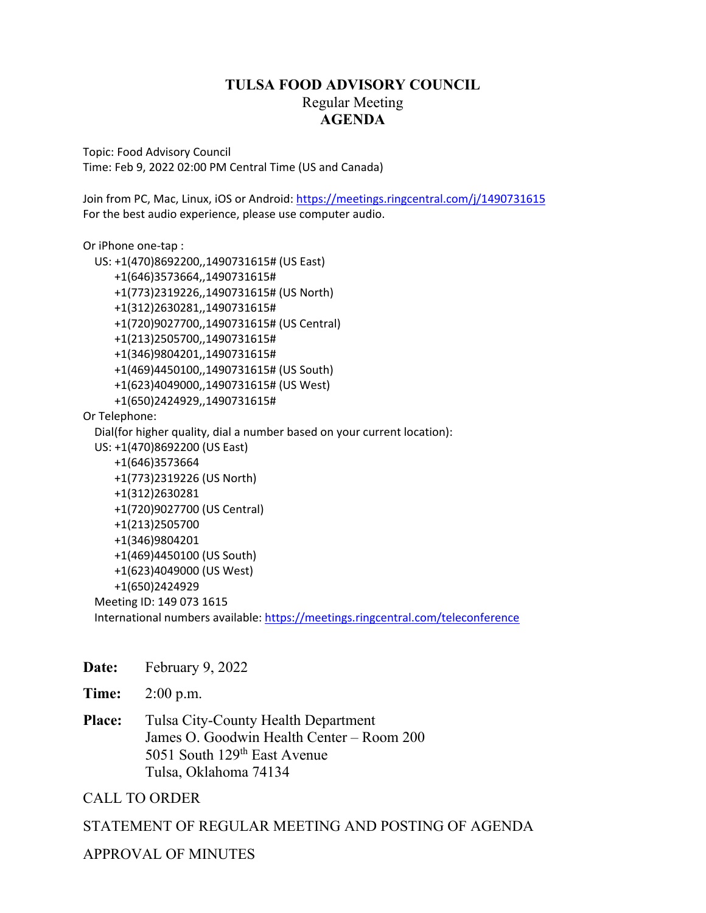#### **TULSA FOOD ADVISORY COUNCIL** Regular Meeting **AGENDA**

Topic: Food Advisory Council Time: Feb 9, 2022 02:00 PM Central Time (US and Canada)

Join from PC, Mac, Linux, iOS or Android: https://meetings.ringcentral.com/j/1490731615 For the best audio experience, please use computer audio.

```
Or iPhone one‐tap :  
      US: +1(470)8692200,,1490731615# (US East)  
                  +1(646)3573664,,1490731615#  
                  +1(773)2319226,,1490731615# (US North)  
                  +1(312)2630281,,1490731615#  
                  +1(720)9027700,,1490731615# (US Central)  
                  +1(213)2505700,,1490731615#  
                  +1(346)9804201,,1490731615#  
                  +1(469)4450100,,1490731615# (US South)  
                  +1(623)4049000,,1490731615# (US West)  
                  +1(650)2424929,,1490731615#  
Or Telephone:  
      Dial(for higher quality, dial a number based on your current location):  
      US: +1(470)8692200 (US East)  
                  +1(646)3573664  
                  +1(773)2319226 (US North)  
                  +1(312)2630281  
                  +1(720)9027700 (US Central)  
                  +1(213)2505700  
                  +1(346)9804201  
                  +1(469)4450100 (US South)  
                  +1(623)4049000 (US West)  
                  +1(650)2424929  
      Meeting ID: 149 073 1615  
      International numbers available: https://meetings.ringcentral.com/teleconference
```
**Date:** February 9, 2022

**Time:** 2:00 p.m.

**Place:** Tulsa City-County Health Department James O. Goodwin Health Center – Room 200 5051 South 129<sup>th</sup> East Avenue Tulsa, Oklahoma 74134

CALL TO ORDER

#### STATEMENT OF REGULAR MEETING AND POSTING OF AGENDA

#### APPROVAL OF MINUTES